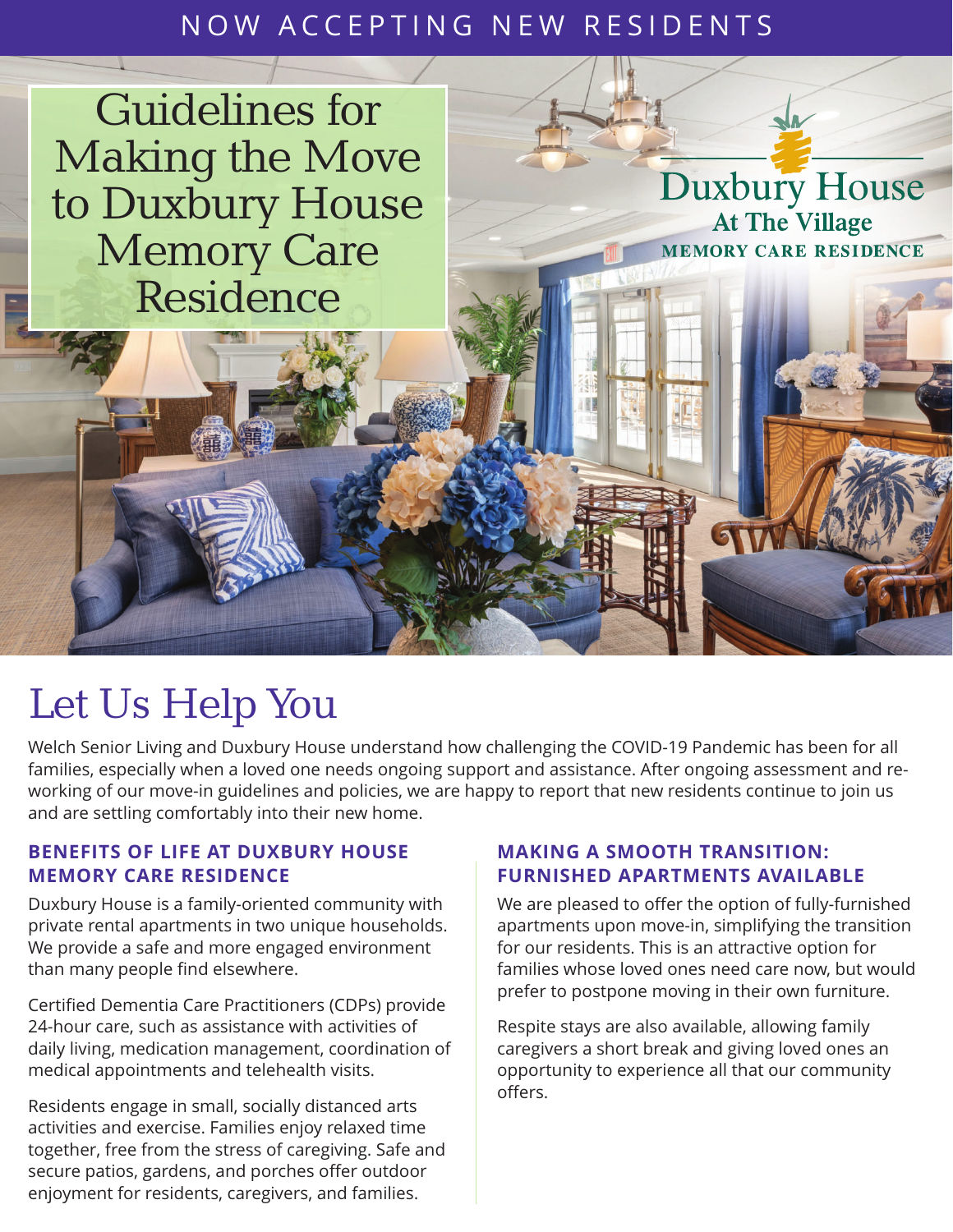## NOW ACCEPTING NEW RESIDENTS

Guidelines for Making the Move to Duxbury House Memory Care Residence

# Let Us Help You

Welch Senior Living and Duxbury House understand how challenging the COVID-19 Pandemic has been for all families, especially when a loved one needs ongoing support and assistance. After ongoing assessment and reworking of our move-in guidelines and policies, we are happy to report that new residents continue to join us and are settling comfortably into their new home.

#### **BENEFITS OF LIFE AT DUXBURY HOUSE MEMORY CARE RESIDENCE**

Duxbury House is a family-oriented community with private rental apartments in two unique households. We provide a safe and more engaged environment than many people find elsewhere.

Certified Dementia Care Practitioners (CDPs) provide 24-hour care, such as assistance with activities of daily living, medication management, coordination of medical appointments and telehealth visits.

Residents engage in small, socially distanced arts activities and exercise. Families enjoy relaxed time together, free from the stress of caregiving. Safe and secure patios, gardens, and porches offer outdoor enjoyment for residents, caregivers, and families.

#### **MAKING A SMOOTH TRANSITION: FURNISHED APARTMENTS AVAILABLE**

We are pleased to offer the option of fully-furnished apartments upon move-in, simplifying the transition for our residents. This is an attractive option for families whose loved ones need care now, but would prefer to postpone moving in their own furniture.

**Duxbury House** 

**At The Village MEMORY CARE RESIDENCE** 

Respite stays are also available, allowing family caregivers a short break and giving loved ones an opportunity to experience all that our community offers.